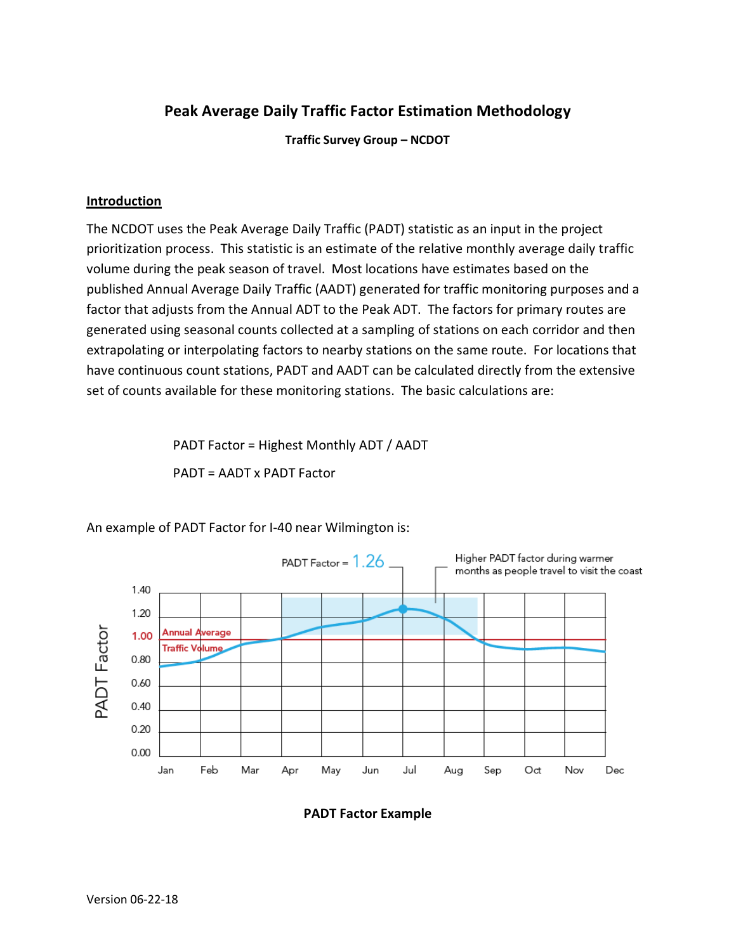# Peak Average Daily Traffic Factor Estimation Methodology

Traffic Survey Group – NCDOT

# **Introduction**

The NCDOT uses the Peak Average Daily Traffic (PADT) statistic as an input in the project prioritization process. This statistic is an estimate of the relative monthly average daily traffic volume during the peak season of travel. Most locations have estimates based on the published Annual Average Daily Traffic (AADT) generated for traffic monitoring purposes and a factor that adjusts from the Annual ADT to the Peak ADT. The factors for primary routes are generated using seasonal counts collected at a sampling of stations on each corridor and then extrapolating or interpolating factors to nearby stations on the same route. For locations that have continuous count stations, PADT and AADT can be calculated directly from the extensive set of counts available for these monitoring stations. The basic calculations are:

> PADT Factor = Highest Monthly ADT / AADT PADT = AADT x PADT Factor



An example of PADT Factor for I-40 near Wilmington is:

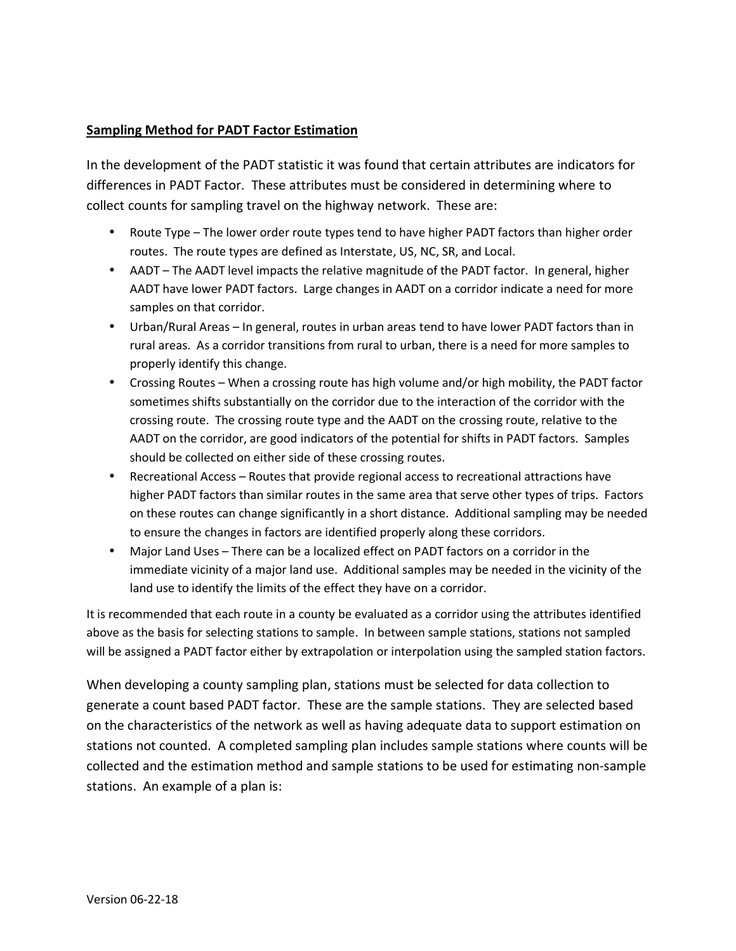# Sampling Method for PADT Factor Estimation

In the development of the PADT statistic it was found that certain attributes are indicators for differences in PADT Factor. These attributes must be considered in determining where to collect counts for sampling travel on the highway network. These are:

- Route Type The lower order route types tend to have higher PADT factors than higher order routes. The route types are defined as Interstate, US, NC, SR, and Local.
- AADT The AADT level impacts the relative magnitude of the PADT factor. In general, higher AADT have lower PADT factors. Large changes in AADT on a corridor indicate a need for more samples on that corridor.
- Urban/Rural Areas In general, routes in urban areas tend to have lower PADT factors than in rural areas. As a corridor transitions from rural to urban, there is a need for more samples to properly identify this change.
- Crossing Routes When a crossing route has high volume and/or high mobility, the PADT factor sometimes shifts substantially on the corridor due to the interaction of the corridor with the crossing route. The crossing route type and the AADT on the crossing route, relative to the AADT on the corridor, are good indicators of the potential for shifts in PADT factors. Samples should be collected on either side of these crossing routes.
- Recreational Access Routes that provide regional access to recreational attractions have higher PADT factors than similar routes in the same area that serve other types of trips. Factors on these routes can change significantly in a short distance. Additional sampling may be needed to ensure the changes in factors are identified properly along these corridors.
- Major Land Uses There can be a localized effect on PADT factors on a corridor in the immediate vicinity of a major land use. Additional samples may be needed in the vicinity of the land use to identify the limits of the effect they have on a corridor.

It is recommended that each route in a county be evaluated as a corridor using the attributes identified above as the basis for selecting stations to sample. In between sample stations, stations not sampled will be assigned a PADT factor either by extrapolation or interpolation using the sampled station factors.

When developing a county sampling plan, stations must be selected for data collection to generate a count based PADT factor. These are the sample stations. They are selected based on the characteristics of the network as well as having adequate data to support estimation on stations not counted. A completed sampling plan includes sample stations where counts will be collected and the estimation method and sample stations to be used for estimating non-sample stations. An example of a plan is: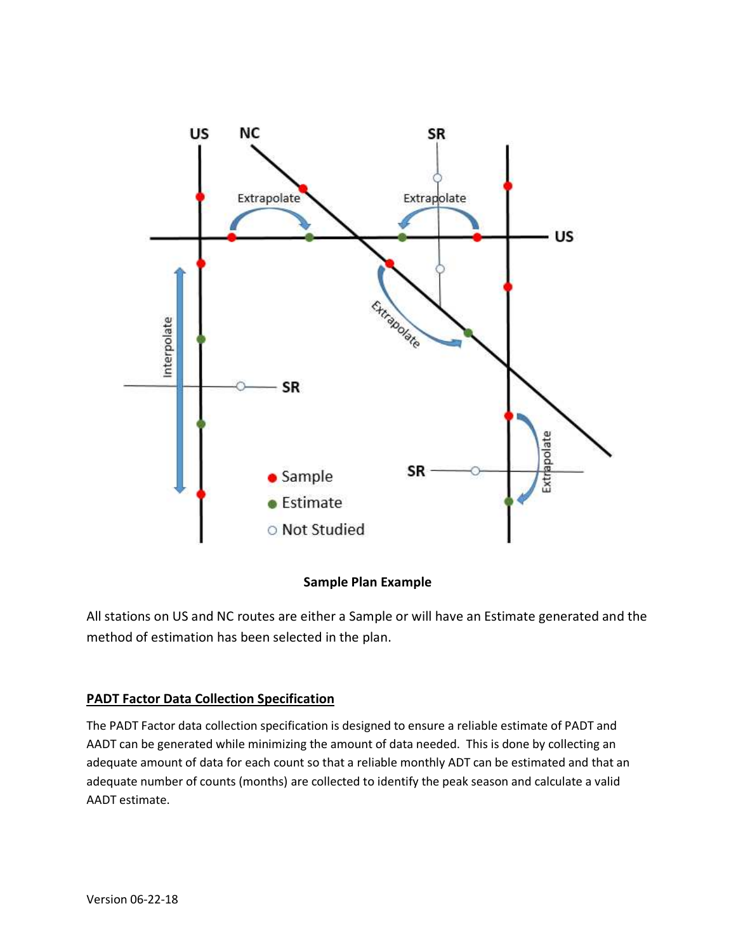

# Sample Plan Example

All stations on US and NC routes are either a Sample or will have an Estimate generated and the method of estimation has been selected in the plan.

# PADT Factor Data Collection Specification

The PADT Factor data collection specification is designed to ensure a reliable estimate of PADT and AADT can be generated while minimizing the amount of data needed. This is done by collecting an adequate amount of data for each count so that a reliable monthly ADT can be estimated and that an adequate number of counts (months) are collected to identify the peak season and calculate a valid AADT estimate.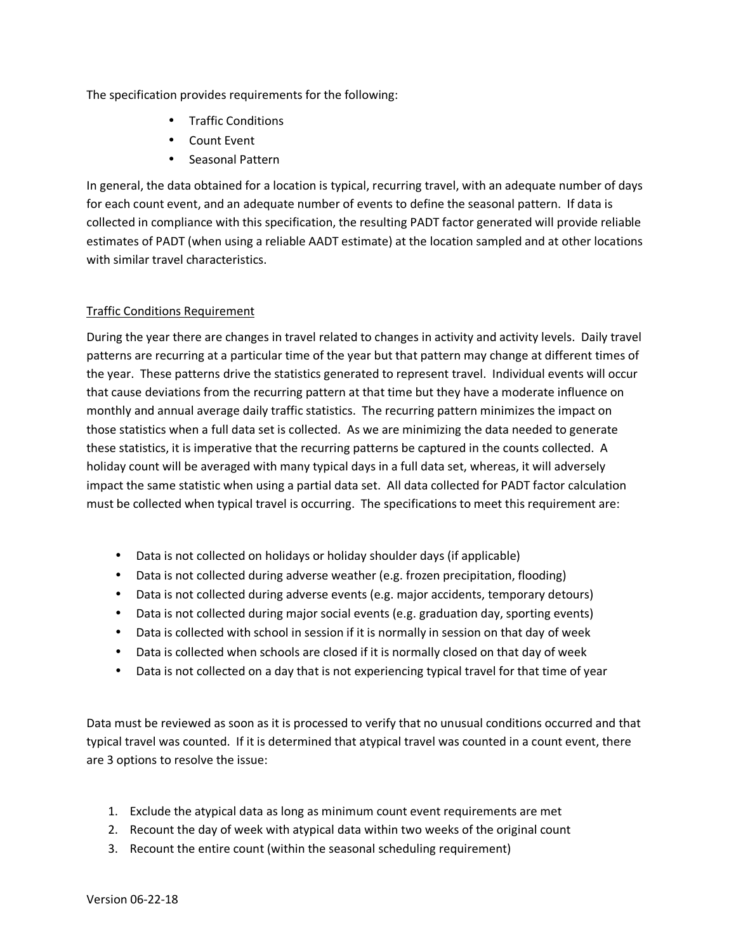The specification provides requirements for the following:

- Traffic Conditions
- Count Event
- Seasonal Pattern

In general, the data obtained for a location is typical, recurring travel, with an adequate number of days for each count event, and an adequate number of events to define the seasonal pattern. If data is collected in compliance with this specification, the resulting PADT factor generated will provide reliable estimates of PADT (when using a reliable AADT estimate) at the location sampled and at other locations with similar travel characteristics.

# Traffic Conditions Requirement

During the year there are changes in travel related to changes in activity and activity levels. Daily travel patterns are recurring at a particular time of the year but that pattern may change at different times of the year. These patterns drive the statistics generated to represent travel. Individual events will occur that cause deviations from the recurring pattern at that time but they have a moderate influence on monthly and annual average daily traffic statistics. The recurring pattern minimizes the impact on those statistics when a full data set is collected. As we are minimizing the data needed to generate these statistics, it is imperative that the recurring patterns be captured in the counts collected. A holiday count will be averaged with many typical days in a full data set, whereas, it will adversely impact the same statistic when using a partial data set. All data collected for PADT factor calculation must be collected when typical travel is occurring. The specifications to meet this requirement are:

- Data is not collected on holidays or holiday shoulder days (if applicable)
- Data is not collected during adverse weather (e.g. frozen precipitation, flooding)
- Data is not collected during adverse events (e.g. major accidents, temporary detours)
- Data is not collected during major social events (e.g. graduation day, sporting events)
- Data is collected with school in session if it is normally in session on that day of week
- Data is collected when schools are closed if it is normally closed on that day of week
- Data is not collected on a day that is not experiencing typical travel for that time of year

Data must be reviewed as soon as it is processed to verify that no unusual conditions occurred and that typical travel was counted. If it is determined that atypical travel was counted in a count event, there are 3 options to resolve the issue:

- 1. Exclude the atypical data as long as minimum count event requirements are met
- 2. Recount the day of week with atypical data within two weeks of the original count
- 3. Recount the entire count (within the seasonal scheduling requirement)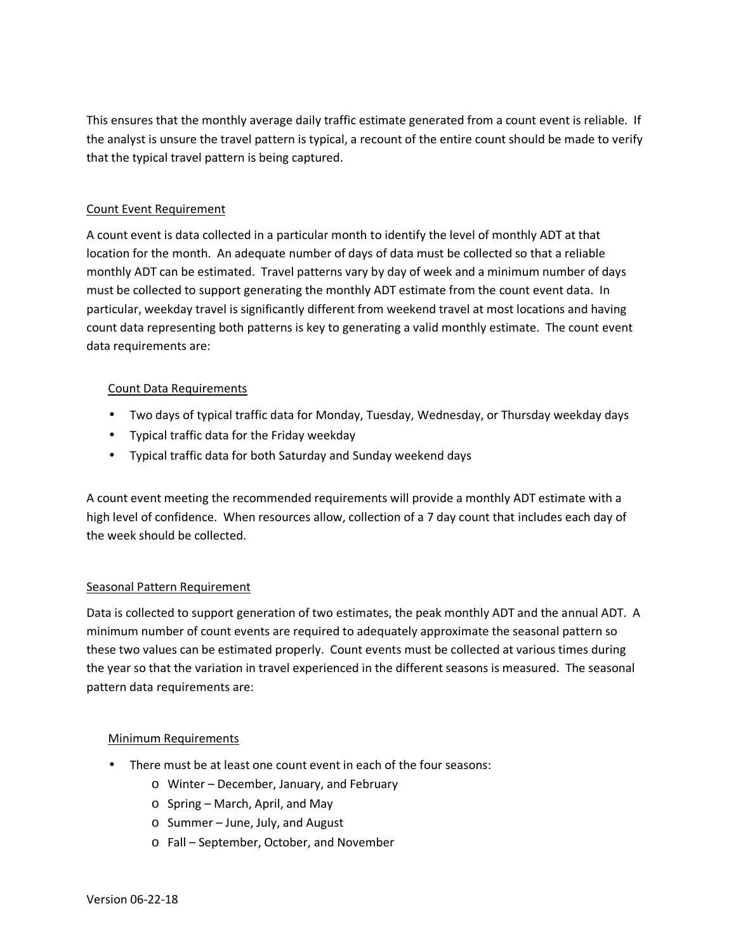This ensures that the monthly average daily traffic estimate generated from a count event is reliable. If the analyst is unsure the travel pattern is typical, a recount of the entire count should be made to verify that the typical travel pattern is being captured.

## Count Event Requirement

A count event is data collected in a particular month to identify the level of monthly ADT at that location for the month. An adequate number of days of data must be collected so that a reliable monthly ADT can be estimated. Travel patterns vary by day of week and a minimum number of days must be collected to support generating the monthly ADT estimate from the count event data. In particular, weekday travel is significantly different from weekend travel at most locations and having count data representing both patterns is key to generating a valid monthly estimate. The count event data requirements are:

## Count Data Requirements

- Two days of typical traffic data for Monday, Tuesday, Wednesday, or Thursday weekday days
- Typical traffic data for the Friday weekday
- Typical traffic data for both Saturday and Sunday weekend days

A count event meeting the recommended requirements will provide a monthly ADT estimate with a high level of confidence. When resources allow, collection of a 7 day count that includes each day of the week should be collected.

## Seasonal Pattern Requirement

Data is collected to support generation of two estimates, the peak monthly ADT and the annual ADT. A minimum number of count events are required to adequately approximate the seasonal pattern so these two values can be estimated properly. Count events must be collected at various times during the year so that the variation in travel experienced in the different seasons is measured. The seasonal pattern data requirements are:

## Minimum Requirements

- There must be at least one count event in each of the four seasons:
	- o Winter December, January, and February
	- o Spring March, April, and May
	- o Summer June, July, and August
	- o Fall September, October, and November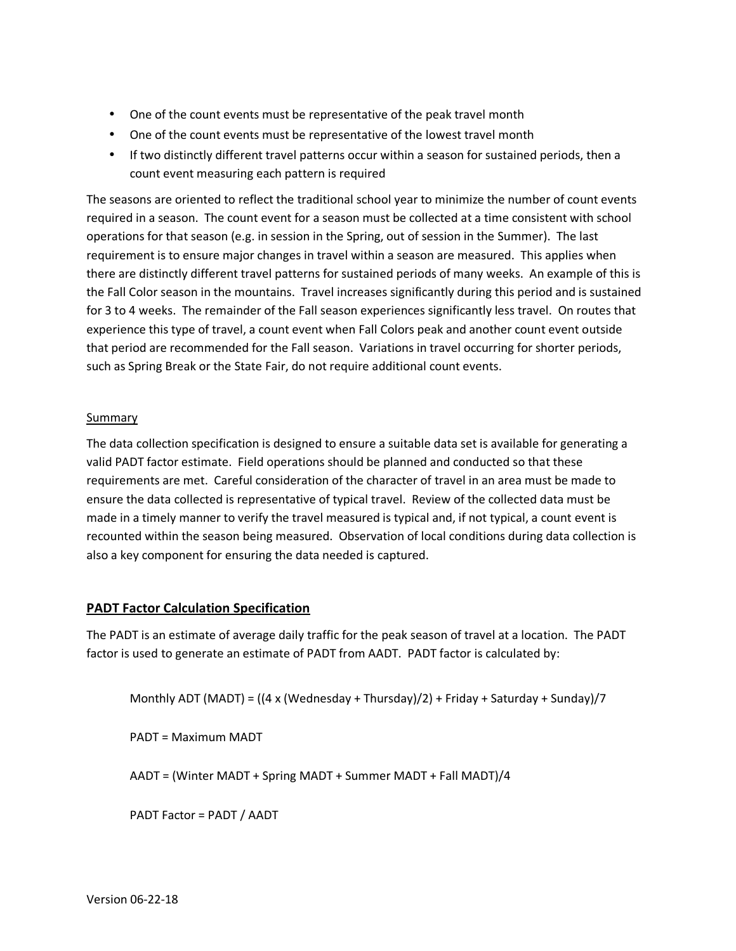- One of the count events must be representative of the peak travel month
- One of the count events must be representative of the lowest travel month
- If two distinctly different travel patterns occur within a season for sustained periods, then a count event measuring each pattern is required

The seasons are oriented to reflect the traditional school year to minimize the number of count events required in a season. The count event for a season must be collected at a time consistent with school operations for that season (e.g. in session in the Spring, out of session in the Summer). The last requirement is to ensure major changes in travel within a season are measured. This applies when there are distinctly different travel patterns for sustained periods of many weeks. An example of this is the Fall Color season in the mountains. Travel increases significantly during this period and is sustained for 3 to 4 weeks. The remainder of the Fall season experiences significantly less travel. On routes that experience this type of travel, a count event when Fall Colors peak and another count event outside that period are recommended for the Fall season. Variations in travel occurring for shorter periods, such as Spring Break or the State Fair, do not require additional count events.

## Summary

The data collection specification is designed to ensure a suitable data set is available for generating a valid PADT factor estimate. Field operations should be planned and conducted so that these requirements are met. Careful consideration of the character of travel in an area must be made to ensure the data collected is representative of typical travel. Review of the collected data must be made in a timely manner to verify the travel measured is typical and, if not typical, a count event is recounted within the season being measured. Observation of local conditions during data collection is also a key component for ensuring the data needed is captured.

# PADT Factor Calculation Specification

The PADT is an estimate of average daily traffic for the peak season of travel at a location. The PADT factor is used to generate an estimate of PADT from AADT. PADT factor is calculated by:

Monthly ADT (MADT) = ((4 x (Wednesday + Thursday)/2) + Friday + Saturday + Sunday)/7

PADT = Maximum MADT

AADT = (Winter MADT + Spring MADT + Summer MADT + Fall MADT)/4

PADT Factor = PADT / AADT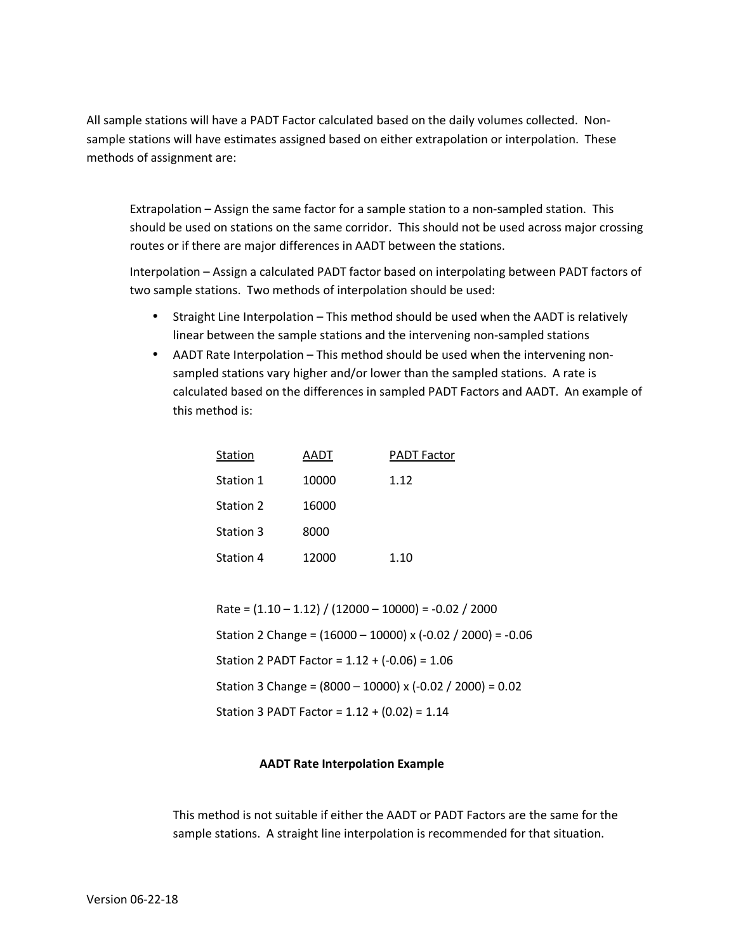All sample stations will have a PADT Factor calculated based on the daily volumes collected. Nonsample stations will have estimates assigned based on either extrapolation or interpolation. These methods of assignment are:

Extrapolation – Assign the same factor for a sample station to a non-sampled station. This should be used on stations on the same corridor. This should not be used across major crossing routes or if there are major differences in AADT between the stations.

Interpolation – Assign a calculated PADT factor based on interpolating between PADT factors of two sample stations. Two methods of interpolation should be used:

- Straight Line Interpolation This method should be used when the AADT is relatively linear between the sample stations and the intervening non-sampled stations
- AADT Rate Interpolation This method should be used when the intervening nonsampled stations vary higher and/or lower than the sampled stations. A rate is calculated based on the differences in sampled PADT Factors and AADT. An example of this method is:

| Station          | AADT  | <b>PADT Factor</b> |
|------------------|-------|--------------------|
| Station 1        | 10000 | 1.12               |
| <b>Station 2</b> | 16000 |                    |
| <b>Station 3</b> | 8000  |                    |
| Station 4        | 12000 | 1.10               |

Rate =  $(1.10 - 1.12) / (12000 - 10000) = -0.02 / 2000$ Station 2 Change = (16000 – 10000) x (-0.02 / 2000) = -0.06 Station 2 PADT Factor = 1.12 + (-0.06) = 1.06 Station 3 Change = (8000 – 10000) x (-0.02 / 2000) = 0.02 Station 3 PADT Factor = 1.12 + (0.02) = 1.14

## AADT Rate Interpolation Example

This method is not suitable if either the AADT or PADT Factors are the same for the sample stations. A straight line interpolation is recommended for that situation.